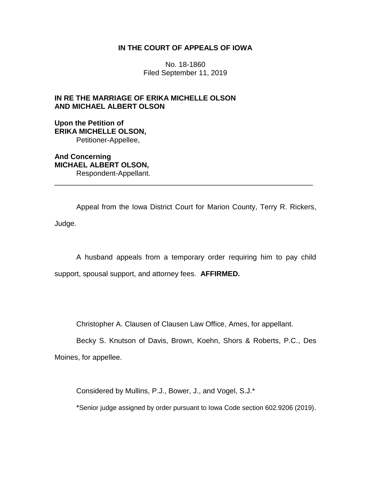# **IN THE COURT OF APPEALS OF IOWA**

No. 18-1860 Filed September 11, 2019

# **IN RE THE MARRIAGE OF ERIKA MICHELLE OLSON AND MICHAEL ALBERT OLSON**

**Upon the Petition of ERIKA MICHELLE OLSON,** Petitioner-Appellee,

**And Concerning MICHAEL ALBERT OLSON,** Respondent-Appellant. \_\_\_\_\_\_\_\_\_\_\_\_\_\_\_\_\_\_\_\_\_\_\_\_\_\_\_\_\_\_\_\_\_\_\_\_\_\_\_\_\_\_\_\_\_\_\_\_\_\_\_\_\_\_\_\_\_\_\_\_\_\_\_\_

Appeal from the Iowa District Court for Marion County, Terry R. Rickers, Judge.

A husband appeals from a temporary order requiring him to pay child support, spousal support, and attorney fees. **AFFIRMED.**

Christopher A. Clausen of Clausen Law Office, Ames, for appellant.

Becky S. Knutson of Davis, Brown, Koehn, Shors & Roberts, P.C., Des

Moines, for appellee.

Considered by Mullins, P.J., Bower, J., and Vogel, S.J.\*

\*Senior judge assigned by order pursuant to Iowa Code section 602.9206 (2019).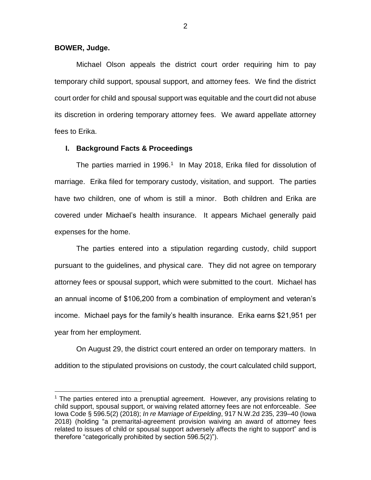### **BOWER, Judge.**

 $\overline{a}$ 

Michael Olson appeals the district court order requiring him to pay temporary child support, spousal support, and attorney fees. We find the district court order for child and spousal support was equitable and the court did not abuse its discretion in ordering temporary attorney fees. We award appellate attorney fees to Erika.

### **I. Background Facts & Proceedings**

The parties married in 1996.<sup>1</sup> In May 2018, Erika filed for dissolution of marriage. Erika filed for temporary custody, visitation, and support. The parties have two children, one of whom is still a minor. Both children and Erika are covered under Michael's health insurance. It appears Michael generally paid expenses for the home.

The parties entered into a stipulation regarding custody, child support pursuant to the guidelines, and physical care. They did not agree on temporary attorney fees or spousal support, which were submitted to the court. Michael has an annual income of \$106,200 from a combination of employment and veteran's income. Michael pays for the family's health insurance. Erika earns \$21,951 per year from her employment.

On August 29, the district court entered an order on temporary matters. In addition to the stipulated provisions on custody, the court calculated child support,

<sup>&</sup>lt;sup>1</sup> The parties entered into a prenuptial agreement. However, any provisions relating to child support, spousal support, or waiving related attorney fees are not enforceable. *See*  Iowa Code § 596.5(2) (2018); *In re Marriage of Erpelding*, 917 N.W.2d 235, 239–40 (Iowa 2018) (holding "a premarital-agreement provision waiving an award of attorney fees related to issues of child or spousal support adversely affects the right to support" and is therefore "categorically prohibited by section 596.5(2)").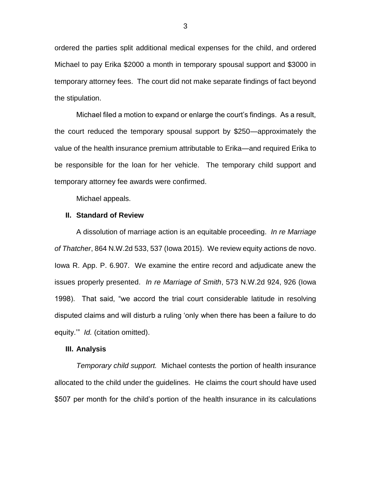ordered the parties split additional medical expenses for the child, and ordered Michael to pay Erika \$2000 a month in temporary spousal support and \$3000 in temporary attorney fees. The court did not make separate findings of fact beyond the stipulation.

Michael filed a motion to expand or enlarge the court's findings. As a result, the court reduced the temporary spousal support by \$250—approximately the value of the health insurance premium attributable to Erika—and required Erika to be responsible for the loan for her vehicle. The temporary child support and temporary attorney fee awards were confirmed.

Michael appeals.

#### **II. Standard of Review**

A dissolution of marriage action is an equitable proceeding. *In re Marriage of Thatcher*, 864 N.W.2d 533, 537 (Iowa 2015). We review equity actions de novo. Iowa R. App. P. 6.907. We examine the entire record and adjudicate anew the issues properly presented. *In re Marriage of Smith*, 573 N.W.2d 924, 926 (Iowa 1998). That said, "we accord the trial court considerable latitude in resolving disputed claims and will disturb a ruling 'only when there has been a failure to do equity.'" *Id.* (citation omitted).

#### **III. Analysis**

*Temporary child support.* Michael contests the portion of health insurance allocated to the child under the guidelines. He claims the court should have used \$507 per month for the child's portion of the health insurance in its calculations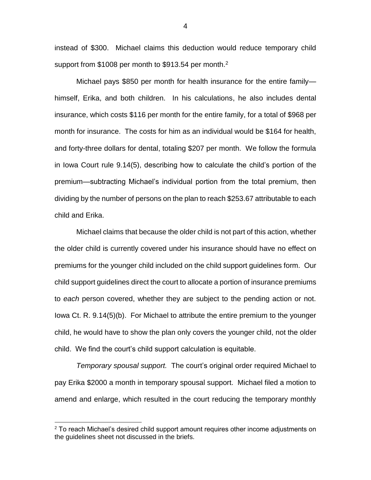instead of \$300. Michael claims this deduction would reduce temporary child support from \$1008 per month to \$913.54 per month.<sup>2</sup>

Michael pays \$850 per month for health insurance for the entire family himself, Erika, and both children. In his calculations, he also includes dental insurance, which costs \$116 per month for the entire family, for a total of \$968 per month for insurance. The costs for him as an individual would be \$164 for health, and forty-three dollars for dental, totaling \$207 per month. We follow the formula in Iowa Court rule 9.14(5), describing how to calculate the child's portion of the premium—subtracting Michael's individual portion from the total premium, then dividing by the number of persons on the plan to reach \$253.67 attributable to each child and Erika.

Michael claims that because the older child is not part of this action, whether the older child is currently covered under his insurance should have no effect on premiums for the younger child included on the child support guidelines form. Our child support guidelines direct the court to allocate a portion of insurance premiums to *each* person covered, whether they are subject to the pending action or not. Iowa Ct. R. 9.14(5)(b). For Michael to attribute the entire premium to the younger child, he would have to show the plan only covers the younger child, not the older child. We find the court's child support calculation is equitable.

*Temporary spousal support.* The court's original order required Michael to pay Erika \$2000 a month in temporary spousal support. Michael filed a motion to amend and enlarge, which resulted in the court reducing the temporary monthly

 $\overline{a}$ 

4

 $2$  To reach Michael's desired child support amount requires other income adjustments on the guidelines sheet not discussed in the briefs.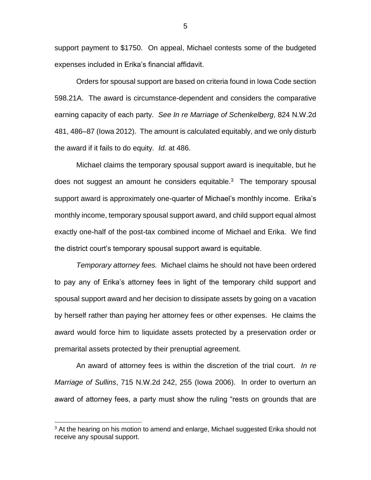support payment to \$1750. On appeal, Michael contests some of the budgeted expenses included in Erika's financial affidavit.

Orders for spousal support are based on criteria found in Iowa Code section 598.21A. The award is circumstance-dependent and considers the comparative earning capacity of each party. *See In re Marriage of Schenkelberg*, 824 N.W.2d 481, 486–87 (Iowa 2012). The amount is calculated equitably, and we only disturb the award if it fails to do equity. *Id.* at 486.

Michael claims the temporary spousal support award is inequitable, but he does not suggest an amount he considers equitable. $3$  The temporary spousal support award is approximately one-quarter of Michael's monthly income. Erika's monthly income, temporary spousal support award, and child support equal almost exactly one-half of the post-tax combined income of Michael and Erika. We find the district court's temporary spousal support award is equitable.

*Temporary attorney fees.* Michael claims he should not have been ordered to pay any of Erika's attorney fees in light of the temporary child support and spousal support award and her decision to dissipate assets by going on a vacation by herself rather than paying her attorney fees or other expenses. He claims the award would force him to liquidate assets protected by a preservation order or premarital assets protected by their prenuptial agreement.

An award of attorney fees is within the discretion of the trial court. *In re Marriage of Sullins*, 715 N.W.2d 242, 255 (Iowa 2006). In order to overturn an award of attorney fees, a party must show the ruling "rests on grounds that are

 $\overline{a}$ 

 $3$  At the hearing on his motion to amend and enlarge, Michael suggested Erika should not receive any spousal support.